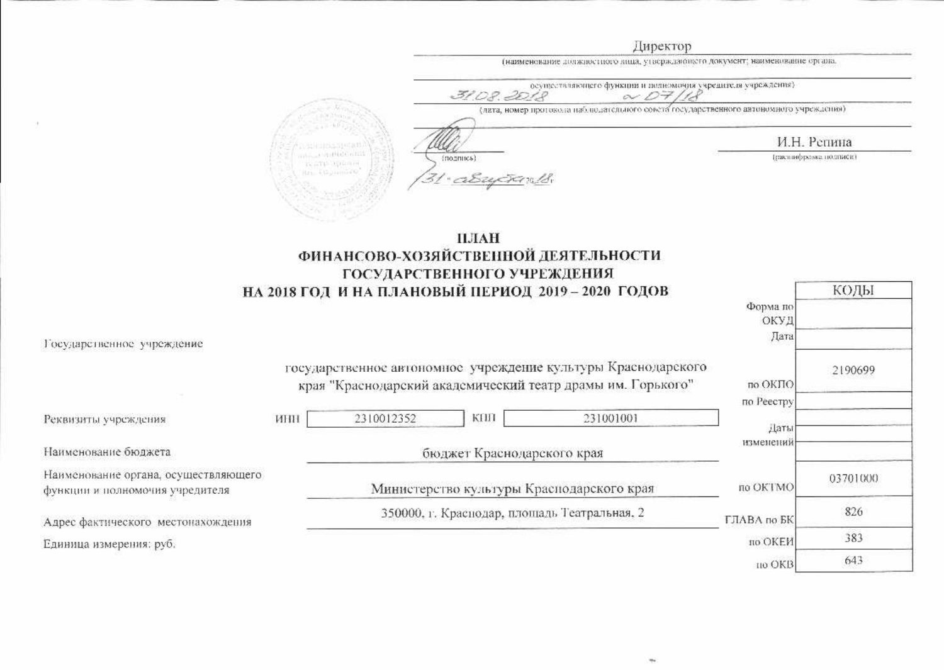#### Директор

|                                              | 31.08.2018<br>$\alpha$ $D7$ | осуществляющего функции и подномочня учредителя учреждения).                          |
|----------------------------------------------|-----------------------------|---------------------------------------------------------------------------------------|
|                                              |                             | лета, номер протовола наблюдательного совета государственного автинимного учреждения) |
| <b>A DERUMES NEBRA</b>                       |                             | И.Н. Репина                                                                           |
| mill a stripted only.<br>TV-STEP-Manufacture | (подпись)                   | Гластинфрудзка подписит                                                               |

ПЛАН ФИНАНСОВО-ХОЗЯЙСТВЕННОЙ ДЕЯТЕЛЬНОСТИ ГОСУДАРСТВЕННОГО УЧРЕЖДЕНИЯ НА 2018 ГОД И НА ПЛАНОВЫЙ ПЕРИОД 2019 - 2020 ГОДОВ

Государственное учреждение

государственное автономное учреждение культуры Краснодарского края "Краснодарский академический театр драмы им. Горького"

| Реквизиты учреждения                                                    | иш | 2310012352 | КШ                         | 231001001                                    |     |
|-------------------------------------------------------------------------|----|------------|----------------------------|----------------------------------------------|-----|
| Наименование бюджета                                                    |    |            | бюджет Краснодарского края |                                              |     |
| Наименование органа, осуществляющего<br>функции и полномочия учредителя |    |            |                            | Министерство культуры Красподарского края    |     |
| Адрес фактического местонахождения                                      |    |            |                            | 350000, г. Краснодар, площадь Театральная, 2 | ΓЛ. |
| Единица измерения: руб.                                                 |    |            |                            |                                              |     |

|                  | КОДЫ     |
|------------------|----------|
| Форма по         |          |
| ОКУД             |          |
| Лата             |          |
|                  | 2190699  |
| по ОКПО          |          |
| по Реестру       |          |
| Даты             |          |
| изменений        |          |
| πο OKTMO         | 03701000 |
| ABA no <i>EK</i> | 826      |
| по ОКЕИ          | 383      |
| TIO OKB          | 643      |
|                  |          |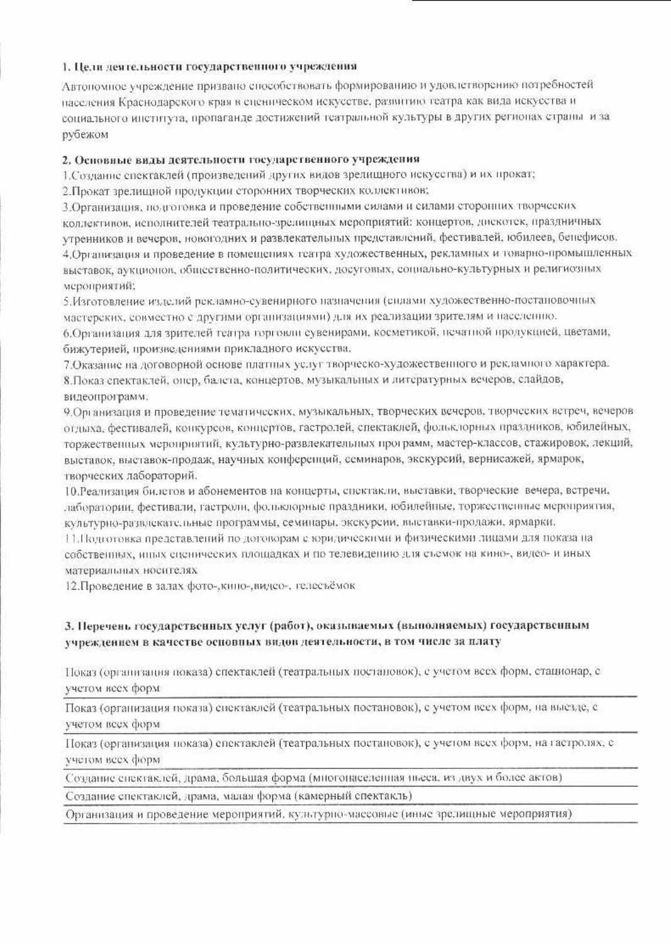### 1. Цели деятельности государственного учреждения

Автопомное учреждение призвано способствовать формированию и удовлетворению потребностей населения Краснодарского края в сценическом искусстве, развитию театра как вида искусства и социального института, пропаганде достижений театральной культуры в других регионах страны и за рубежом

## 2. Основные виды деятельности государственного учреждения

1. Создание спектаклей (произведений других видов зредищного искусства) и их прокат;

2. Прокат зрелищной продукции сторонних творческих коллективов;

3. Ооганизация, подготовка и проведение собственными силами и силами сторонних творческих коллективов, исполнителей театрально-зрелищных мероприятий: концертов, дискотск, праздничных утренников и вечеров, новогодних и развлекательных представлений, фестивалей, юбилеев, бенефисов. 4. Организация и проведение в помещениях театра художественных, рекламных и товарно-промышленных выставок, аукционов, общественно-политических, досуговых, социально-культурных и религиозных мероприятий:

5. Изготовление изделий рекламно-сувенирного назначения (силами художественно-постановочных мастерских, совместно с другими организациями) для их реализации зрителям и населенно. 6. Организация для зрителей театра торговли сувенирами, косметикой, псчатной продукцией, цветами, бижутерией, произведениями прикладного искусства.

7. Оказание на договорной основе платных услуг творческо-художественного и рекламного характера. 8. Показ спектаклей, опер, балета, концертов, музыкальных и литературных вечеров, слайдов, видеопрограмм.

9. Организация и проведение тематических, музыкальных, творческих вечеров, творческих встреч, вечеров отдыха, фестивалей, конкурсов, концертов, гастролей, спектаклей, фольклорных праздников, юбилейных, торжественных мероприятий, культурно-развлекательных программ, мастер-классов, стажировок, лекций, выставок, выставок-продаж, научных конференций, семинаров, экскурсий, вернисажей, ярмарок, творческих лабораторий.

10. Реализация билетов и абонементов на концерты, спектакли, выставки, творческие вечера, встречи. лаборатории, фестивали, гастроли, фольклорные праздники, юбилейные, торжественные мероприятия, культурно-развлекательные программы, семинары, экскурсии, выставки-продажи, ярмарки,

П.Полготовка представлений по договорам с юридическими и физическими лицами для показа на собственных, иных спенических площадках и по телевидению для съемок на кино-, видео- и иных материальных носителях

12. Проведение в залах фото-, кино-, видео-, телесъёмок

## 3. Перечень государственных услуг (работ), оказываемых (выполняемых) государственным учреждением в качестве основных видов деятельности, в том числе за плату

Показ (организация показа) спектаклей (театральных постановок), с учетом всех форм, стационар, с учетом всех форм-

Показ (организация показа) спектаклей (театральных постановок), с учетом всех форм, на выезде, с учетом всех форм

Показ (организация ноказа) спектаклей (театральных постановок), с учетом всех форм, на гастролях, с учетом всех форм

Создание спектаклей, драма, большая форма (многонаселенная пьеса, из двух и более актов).

Создание спектаклей, драма, малая форма (камерный спектакль)

Организация и проведение мероприятий, культурно-массовые (иные зрелищные мероприятия)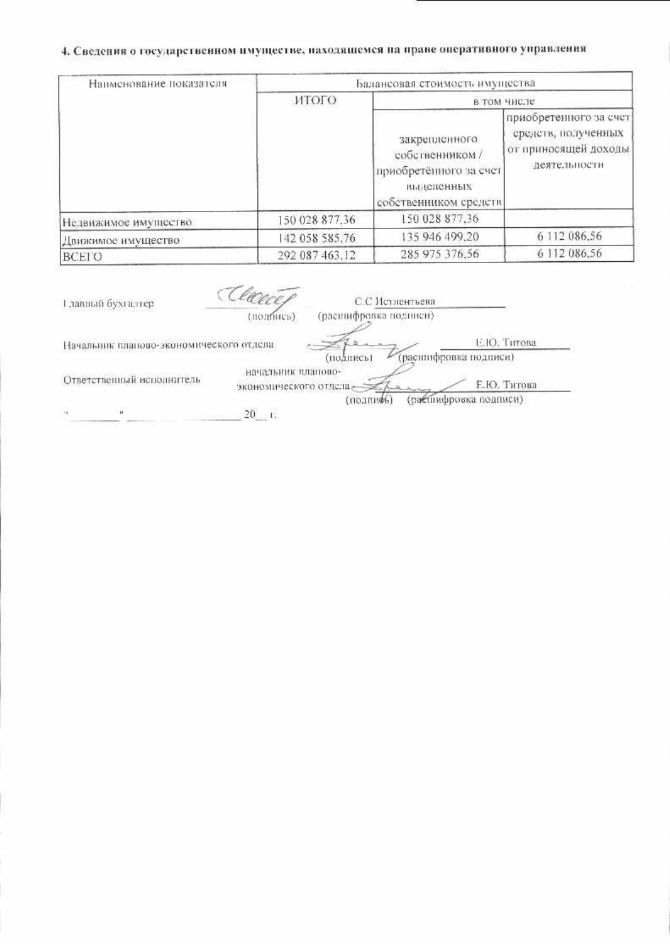# 4. Сведения о государственном имуществе, находящемся на праве оперативного управления

| Наименование показателя |                | Балансовая стоимость имущества                                                                    |                                                                                       |  |  |  |  |  |  |  |  |
|-------------------------|----------------|---------------------------------------------------------------------------------------------------|---------------------------------------------------------------------------------------|--|--|--|--|--|--|--|--|
|                         | <b>ИТОГО</b>   |                                                                                                   | в том числе                                                                           |  |  |  |  |  |  |  |  |
|                         |                | закрепленного<br>собственником /<br>приобретённого за счет<br>выделенных<br>собственником средств | приобретенного за счет<br>средств, полученных<br>от приносящей доходы<br>деятельности |  |  |  |  |  |  |  |  |
| Недвижимое имущество    | 150 028 877.36 | 150 028 877,36                                                                                    |                                                                                       |  |  |  |  |  |  |  |  |
| Движимое имущество      | 142 058 585,76 | 135 946 499.20                                                                                    | 6 112 086,56                                                                          |  |  |  |  |  |  |  |  |
| <b>BCETO</b>            | 292 087 463.12 | 285 975 376,56                                                                                    | 6 112 086,56                                                                          |  |  |  |  |  |  |  |  |

| лавный бухгалтер                        | "Core<br>(подпись) | С.С. Истиентьева<br>(расшифровка подписи) |                                       |
|-----------------------------------------|--------------------|-------------------------------------------|---------------------------------------|
| Начальник планово-экономического отдела |                    | (подпись)                                 | E.IO. THTOBa<br>(расшифровка подниси) |
| Ответственный исполнитель               | начальник планово- | экономического отдела - =<br>(подпифь     | Е.Ю. Титова<br>(распифровка подписи)  |
| $\mathbf{u}$ .                          | 20                 |                                           |                                       |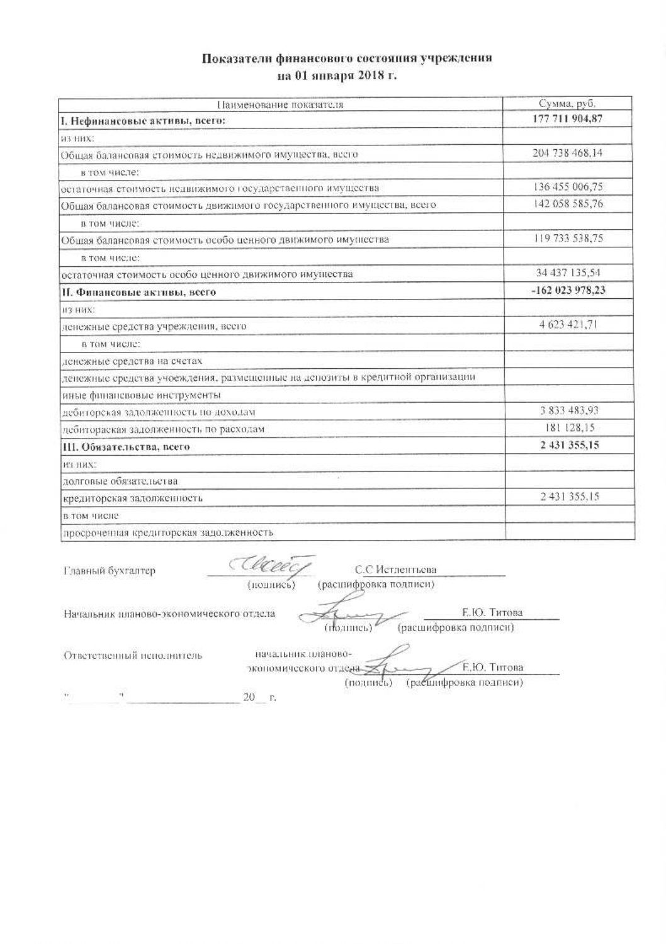# Показатели финансового состояния учреждения на 01 января 2018 г.

| Панменование показателя                                                       | Сумма, руб.     |
|-------------------------------------------------------------------------------|-----------------|
| I. Нефинансовые активы, всего:                                                | 177 711 904,87  |
| из них:                                                                       |                 |
| Общая балансовая стоимость недвижимого имущества, всего                       | 204 738 468,14  |
| в том числе:                                                                  |                 |
| остаточная стоимость недвижимого государственного имущества                   | 136 455 006,75  |
| Общая балансовая стоимость движимого государственного имущества, всего        | 142 058 585,76  |
| в том числе:                                                                  |                 |
| Общая балансовая стоимость особо ценного движимого имущества                  | 119 733 538,75  |
| в том числе:                                                                  |                 |
| остаточная стоимость особо ценного движимого имущества                        | 34 437 135,54   |
| И. Финансовые активы, всего                                                   | -162 023 978,23 |
| ИЗ НИХ:                                                                       |                 |
| денежные средства учреждения, всего                                           | 4 623 421,71    |
| в том числе:                                                                  |                 |
| денежные средства на счетах                                                   |                 |
| денежные средства учоеждения, размещенные на депозиты в кредитной организации |                 |
| иные финансвовые инструменты                                                  |                 |
| дебиторская задолженность но доходам                                          | 3 833 483,93    |
| дебитораская задолженность по расходам.                                       | 181 128,15      |
| III. Обизательства, всего.                                                    | 2 431 355,15    |
| ИЗ НИХ:                                                                       |                 |
| - 78<br>долговые обязательства                                                |                 |
| кредиторская задолженность                                                    | 2 431 355.15    |
| в том числе                                                                   |                 |
| просроченная кредиторская задолженность                                       |                 |

| Главный бухгалтер                       | tleeec<br>С.С Истлентьева<br>(расшифровка подписи)<br>(подпись)                                   |
|-----------------------------------------|---------------------------------------------------------------------------------------------------|
| Начальник планово-экономического отдела | Е.Ю. Титова<br>(расшифровка подписи).<br>(полнись)                                                |
| Ответственный исполнитель               | начальник планово-<br>Е.Ю. Титова<br>экономического отдела -<br>расшифровка подписи)<br>(поднись) |
| $\tau$                                  | 20<br>E.                                                                                          |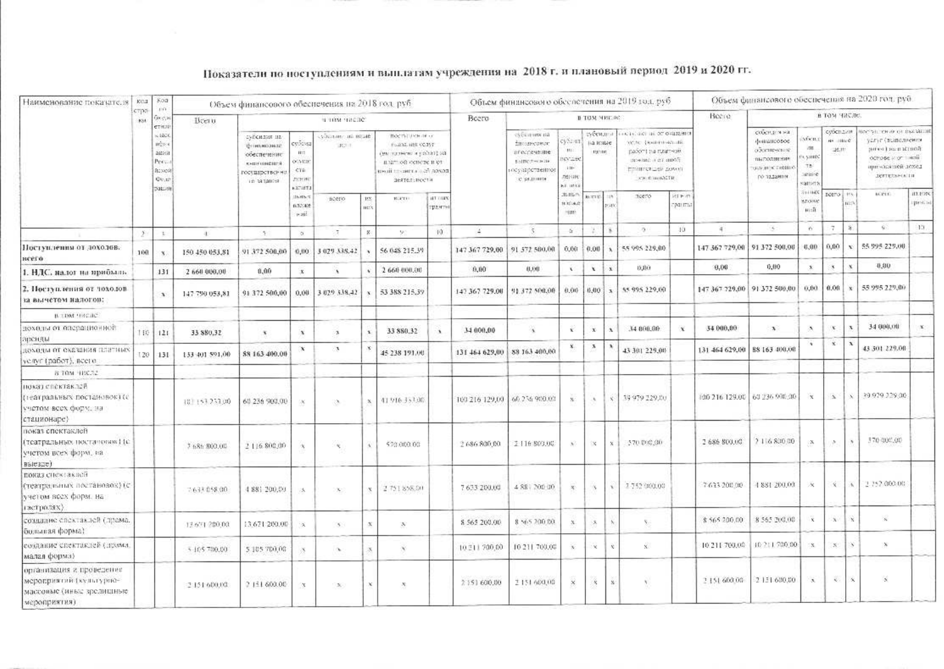# Показатели по поступлениям и выплатам учреждения на 2018 г. и плановый период 2019 и 2020 гг.

| Наименование показателя                                                                           | KINT        | Koa<br>m                                                                 |                | Объем финансового обеспечения на 2018 год. руб.                                          |                                                                     |                                              |                        |                                                                                                                                            |                            |                |                                                                                                 |                                                               |               |                                  | Объем финансового обеспечения на 2019 год. руб                                                                              |                         |                                |                                                                                                                   |                                                                       |                                       |                              | Объем финансового обеспечения на 2020 год. руб.                                                                                  |                           |
|---------------------------------------------------------------------------------------------------|-------------|--------------------------------------------------------------------------|----------------|------------------------------------------------------------------------------------------|---------------------------------------------------------------------|----------------------------------------------|------------------------|--------------------------------------------------------------------------------------------------------------------------------------------|----------------------------|----------------|-------------------------------------------------------------------------------------------------|---------------------------------------------------------------|---------------|----------------------------------|-----------------------------------------------------------------------------------------------------------------------------|-------------------------|--------------------------------|-------------------------------------------------------------------------------------------------------------------|-----------------------------------------------------------------------|---------------------------------------|------------------------------|----------------------------------------------------------------------------------------------------------------------------------|---------------------------|
|                                                                                                   | CTDP<br>R34 | Georgia                                                                  | Deer o         |                                                                                          |                                                                     | и том числе:                                 |                        |                                                                                                                                            |                            | Beero          |                                                                                                 |                                                               |               | <b>B TOM NECRE</b>               |                                                                                                                             |                         | Boero                          |                                                                                                                   |                                                                       | в том часле.                          |                              |                                                                                                                                  |                           |
|                                                                                                   |             | etici<br>(400)<br>né»<br>aussa<br>Per.<br>Велой<br><b>Doug</b><br>равин. |                | субсилия на-<br>финансовая.<br>обеспечение<br>капедиода<br>государствения<br>TO SECOND R | субонц<br><b>HIS</b><br>0.74100<br>CTB<br>25/34/340<br><b>LTHTJ</b> | Accounts an incorporate<br>$R \rightarrow 1$ |                        | <b>Bochlassen</b> of<br>for \$12,000 AM<br>дистронено и работ), за<br>neat on concrete to ex-<br>песий покинеты най-доход.<br>деятельности |                            |                | скосилия на<br><b>тильнервое</b><br>агоссечение<br>same reality.<br>осударственное<br>с задание | сублиц<br><b>HEL</b><br>10/250<br>$111 -$<br>nerare<br>AT HAT |               | губенде-<br>lia katte<br>- rumme | City act in or ovarance<br>with (kelenowick)<br>pador i na nzar-kui.<br>рание и станост.<br>TEMPER USE CONTR<br>SOUCHUMETH. |                         |                                | собластика<br><i>i</i> juitattcosoe<br>обседения<br><b>NHE SOUTHERN</b><br><b>SUVERING TROBBIC</b><br>го задания. | sfen.<br>ites.<br>cyntec<br>Tb <sup>2</sup><br>mine<br><b>Cattlet</b> | субендин<br><b>H* HiteC</b><br>16.111 |                              | коступления от оказания<br>услуг (выполнения<br>рассы построет.<br>$OCPOBE \cong O^+$ - HOU<br>при «лазней дохед<br>JEFTERSHOUTH |                           |
|                                                                                                   |             |                                                                          |                |                                                                                          | 16863<br>652305<br>$-10^{11}$                                       | 62070                                        | $18\%$<br>$_{\rm H22}$ | 1602131                                                                                                                                    | <b>ALL GITS</b><br>tpairns |                |                                                                                                 | 1616.9<br><b>HIGHA</b><br>HIIE                                |               | strip. me<br><b>EGE</b>          | ncero                                                                                                                       | <b>STERN</b><br>paints: |                                |                                                                                                                   | <b>SHINK</b><br>8,00188<br>$W = \overline{W}$                         | zceno inv.                            | nisy                         | <b>BCELL</b>                                                                                                                     | <b>ILLENS</b><br>tpretist |
|                                                                                                   | $\Sigma$    | ×                                                                        | $4^\circ$      | 38                                                                                       | b.                                                                  | n.                                           | $\mathbf{z}$           | 90                                                                                                                                         | 10.                        | $\Delta$       | $\overline{5}$                                                                                  | $\alpha$                                                      |               | ×                                | $2^+$                                                                                                                       | 19                      | $4^{\circ}$                    | 55                                                                                                                | $\mathcal{O}(\mathcal{C})$                                            | -7                                    | 36                           | 60                                                                                                                               | 13.                       |
| Поступленны от доходов.<br>нсего                                                                  | 100         | $\mathbf{x}$                                                             | 150 450 053,81 | 91.372.500,00                                                                            | 65.61                                                               | 3 029 338.42                                 |                        | 56 048 215.39                                                                                                                              |                            | 147 367 729,00 | 91 572 580,00                                                                                   | 6,60                                                          | 0.00          | ï                                | 55.995.229.00                                                                                                               |                         | 147 367 729.00                 | 91 372 500,00                                                                                                     | 0,00.                                                                 | 0,00                                  | x                            | 55 995 229.00                                                                                                                    |                           |
| 1. НДС. налог на прибыль                                                                          |             | 131                                                                      | 2 660 000,00   | 0,00                                                                                     | $\mathbf{x}$                                                        | x                                            |                        | 2 660 000,00                                                                                                                               |                            | 0,00           | 0.00                                                                                            | x                                                             | $\mathbf{v}$  | $\mathbf x$                      | 0.00                                                                                                                        |                         | 0,00                           | 0.00                                                                                                              | ×                                                                     | $\chi$                                | $\mathbf x$                  | 0.00                                                                                                                             |                           |
| 2. Ноступления от доходов<br>за вычетем налогов:                                                  |             | $\mathbf{X}$                                                             | 147 790 053,81 | 91 372 500,00                                                                            | 0.00                                                                | 3 029 338.42                                 |                        | 53 388 215,39                                                                                                                              |                            | 147 367 729.00 | 91.372.500.00                                                                                   | 0.00                                                          | 0.00          | $\mathbf{x}$                     | 55.995.229.00                                                                                                               |                         | 147 367 729,00   91 372 500,00 |                                                                                                                   | 0,00                                                                  | 0.00.9                                | $\mathbf{x}$                 | 55 995 229,00                                                                                                                    |                           |
| в том числе-                                                                                      |             |                                                                          |                |                                                                                          |                                                                     |                                              |                        |                                                                                                                                            |                            |                |                                                                                                 |                                                               |               |                                  |                                                                                                                             |                         |                                |                                                                                                                   |                                                                       |                                       |                              |                                                                                                                                  |                           |
| доходы от операционной<br>арсиды                                                                  | 110         | 121                                                                      | 33 880.32      | $\mathbf{x}$                                                                             | $\mathbf x$                                                         | $-7$                                         | $\mathbf{x}$           | 33 880.32                                                                                                                                  | $\lambda$                  | 34.000.00      | ×.                                                                                              | X.                                                            | $\mathbf{x}$  | $\lambda$                        | 34 000.00                                                                                                                   | $\chi$                  | 54 000,00                      | $\mathbf{x}$                                                                                                      | $\lambda$<br>$\mathbf{v}$                                             | x<br>$\infty$                         | $\mathbf{x}$<br>$\mathbf{A}$ | 34 000,00                                                                                                                        |                           |
| доходы от оказания платных<br>yeave (patier), scere                                               | 120         | 131                                                                      | 153 401 591,00 | 88 163 400.00                                                                            | x                                                                   | - 75                                         | $\mathcal{R}$          | 45 238 191.00                                                                                                                              |                            | 131 464 629,00 | 88 163 400,00                                                                                   | $\mathbf{x}_i$                                                | $\mathbf{x}$  | x                                | 43 301 229,00                                                                                                               |                         | 131 464 629,00 BS 163 400,00   |                                                                                                                   |                                                                       |                                       |                              | 43 301 229.00                                                                                                                    |                           |
| В ТОМ ЧИСЛ2                                                                                       |             |                                                                          |                |                                                                                          |                                                                     |                                              |                        |                                                                                                                                            |                            |                |                                                                                                 |                                                               |               |                                  |                                                                                                                             |                         |                                |                                                                                                                   |                                                                       |                                       |                              |                                                                                                                                  |                           |
| показ слектаклай<br>(театральных постановок) (с<br>учетом всех форм, на<br>станионаре)            |             |                                                                          | 10 153 233,00  | 60 236 900.00                                                                            | ×                                                                   | Ø.                                           |                        | 41.916.353.00                                                                                                                              |                            | 100 216 129,00 | 60.236.900.00                                                                                   | š.                                                            | $\lambda$     |                                  | 39 979 229.00                                                                                                               |                         |                                | 100 216 129.00 60 236 990.00                                                                                      | $\propto$                                                             | ä.                                    |                              | 39.979.229.00                                                                                                                    |                           |
| показ спектаклей<br>(театральных постановок) (с<br>учетом всех форм, на<br>BEIC326)               |             |                                                                          | 7 686 800.00   | 2 116 800,00                                                                             | $\mathbf{y}$                                                        | $\mathbf{v}_i$                               |                        | \$20,000.00                                                                                                                                |                            | 2 686 800,00   | 2 116 800,00                                                                                    | $\langle \hat{V} \rangle$                                     |               | ίX.<br>x                         | \$70,000,00                                                                                                                 |                         | 2 686 800.00                   | 2.116.800.00                                                                                                      | сΧ,                                                                   | W.                                    |                              | 370-008.00                                                                                                                       |                           |
| показ снежаваей<br>(театральных постановох) (с<br>учетом всех форм, на<br>гастролях)              |             |                                                                          | 7633 058 00    | 4 881 200,00                                                                             | 泳                                                                   | $\infty$                                     | ×                      | 2 751 858.00                                                                                                                               |                            | 7 633 200.00   | 4 88 1 200 00                                                                                   | $\mathcal{R}$                                                 | 1%            |                                  | 2.752.000.00                                                                                                                |                         | 7.633.200.00                   | 1 881 200,00                                                                                                      | $\infty$                                                              | X                                     | Ж                            | 2.752.000.00                                                                                                                     |                           |
| создание спектаклей (драма,<br>большая форма)                                                     |             |                                                                          | 13.671.200,00  | 13,671,200.00                                                                            | 12.                                                                 | $\mathcal{F}$                                | 次                      | $\mathcal{N}$                                                                                                                              |                            | \$565 200.00   | 8 565 200.00                                                                                    | $\mathbf{X}$                                                  | $\mathcal{R}$ |                                  | $\S$                                                                                                                        |                         | 8.565.200.00                   | 8 565 200.00                                                                                                      | x                                                                     | X                                     | ∴¥.                          | ×                                                                                                                                |                           |
| создание спектаклей (драма,<br>малая форма)                                                       |             |                                                                          | 5-105780.00    | 5.105.700,00                                                                             | छ                                                                   | $\Delta\omega$                               | 茂                      | w                                                                                                                                          |                            | 10.211.700,00  | 10/211 700.00                                                                                   | $\mathcal{L}$                                                 |               | ίŃ.<br>$\mathcal{R}$             | Ň.                                                                                                                          |                         | 10.211.700.08                  | 10-211-700.00                                                                                                     | $\leq 8$                                                              | $\mathbf{X}^-$                        | ×                            | $\infty$                                                                                                                         |                           |
| организация и проведение<br>мероприятий (культурно-<br>массовые (иные зрезицияте<br>мероприятия). |             |                                                                          | 2151600.00     | 2 151 600.00                                                                             | $\propto$                                                           | $\infty$                                     | ×                      | ×.                                                                                                                                         |                            | 2 151 600,00   | 2151600,00                                                                                      | $\mathbf{\hat{x}}$                                            |               | $\mathcal{R}$<br>$\mathbf{x}$    | X.                                                                                                                          |                         | 2.151.600.00                   | 2 151 680.00                                                                                                      | $\mathcal{K}$                                                         | x.                                    |                              | S.                                                                                                                               |                           |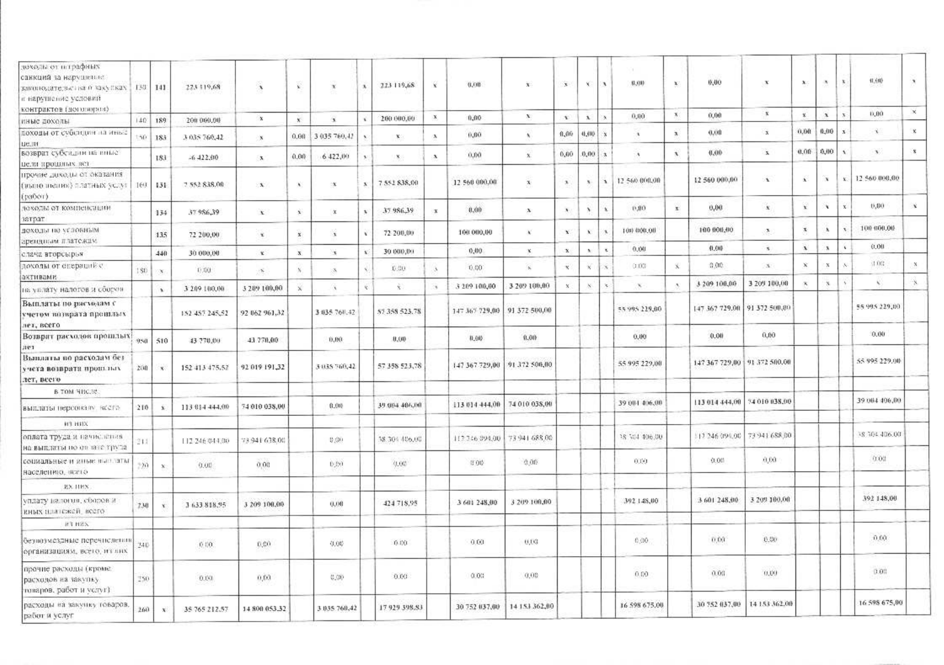| доходы от петрафиых<br>санкций за нарушение:<br>законодательства о закупках   130   141<br>и нарушение условий |         |               | 223 119,68     | $\lambda$     | Ÿ.           | $\mathbf{x}$  | $\mathcal{K}$         | 223-119,68    | x            | 0.00           | $\mathbf{X}$ :  | $\mathbf{x}$   | 船             |              | 0,00          | X.           | 0.00                         | $\mathbf x$   | $\mathbf{X}$ : | $\Lambda$            | x                    | 0.00          | $\mathcal{R}$      |
|----------------------------------------------------------------------------------------------------------------|---------|---------------|----------------|---------------|--------------|---------------|-----------------------|---------------|--------------|----------------|-----------------|----------------|---------------|--------------|---------------|--------------|------------------------------|---------------|----------------|----------------------|----------------------|---------------|--------------------|
| контрактов (договороз)                                                                                         |         |               |                |               |              |               |                       |               |              |                |                 |                |               |              |               |              |                              | $-x$          |                |                      |                      | 0,00          | $\propto$          |
| иные дохоль                                                                                                    | 140     | 189           | 200 000,00     | $\mathbf x$   | X.           | $\mathcal{R}$ |                       | 200.000,00    | $\mathbf{X}$ | 0,00           | $\mathbf{X}$ .  | $\mathbf{Y}$   | $\Lambda$     | <b>X</b>     | 0,80          | X            | 0,00                         |               | $\mathbf{x}$ . | $\mathbf x$          |                      |               |                    |
| доходы от субсидия на инье<br>ue.m                                                                             | 50.     | 183           | 3 035 760,42   | $\mathbf x$   | 0.00         | 3 035 760.43  |                       | $\mathbf{K}$  | W.           | 0,00           | $\mathcal{N}$ . | 0,00           | 4,410         | $\infty$     | $\mathbf{x}$  | $\mathbf{X}$ | 0,00                         | $\propto$     | 0,00           | 0,00                 | $\overline{\lambda}$ | x             | $\mathbf{X}$       |
| возврат субсядни на иные-<br>цели процимых дет-                                                                |         | 183           | $-6,422,00$    | $\mathbf{x}$  | 0.00         | 6 422,00      | y.                    | N.            | x            | 0,00           | $\mathbf{x}$    | 0,00           | 0, 00.        | $\mathbf{X}$ | $\lambda$     | $\mathbf{X}$ | 0.00                         | $\mathbf{x}$  | 0.00.          | 0,00                 | $\lambda$            | $\mathbf{x}$  | $\mathbf{\hat{x}}$ |
| прочие доходы от оказания<br>(вынолнения) ллатных услуг [<br>(работ)                                           |         | 169 131       | 7.552.838.00   | $\mathbf{X}$  | X.           | $\mathbf{X}$  | $\mathbf{X}$ .        | 7.552.838,00  |              | 12 560 000,00  | $\mathbf{x}$    | $\lambda$      |               | $\mathbf{r}$ | 12.560.000,00 |              | 12 560 000,00                | $\lambda$     | A.             | $\mathbf x$          | $x$ .                | 12 560 000,00 |                    |
| чеходы от компенсиции<br>затрат                                                                                |         | 134           | 37.986,39      | $\mathbf x$   |              | $\mathbf x$   | $\mathbf{X}^{\prime}$ | 37.986,39     | $\mathbf x$  | 0.00           | $\mathbf{X}$    | $\mathbf{A}$   | $\lambda$     |              | 0,90          | $\mathbf{x}$ | 0,00                         | $\mathbf{x}$  | x              | ×                    | $\mathbf{x}$         | 6,60          | $\mathbf{x}$       |
| доходы по условным<br>арендолам платежам.                                                                      |         | 135           | 72 200,00      | $\mathbf{x}$  | $\mathbf{x}$ | $\lambda$     | v                     | 72 200,00     |              | 100.000,00     | ĸ               | x              | X             |              | 100.000,00    |              | 100 000,00                   | $\mathbf{x}$  | $\mathbf{x}$   | $\mathbf x$          |                      | 100 000,00    |                    |
| слача вторсырья                                                                                                |         | 440           | 30 000,00      | $\mathbf{x}$  | $\mathbf{x}$ | $\mathbf{X}$  | X.                    | 39.000,00     |              | 0,00           | $\mathbf{X}_1$  | $\mathbf{x}$   | $\mathcal{M}$ | $\epsilon$   | 0.00          |              | 41,00                        | $\mathbf{x}$  | $\Lambda$      | $\mathbf{x}$         |                      | 0.00          |                    |
| доходы от операций с<br>активами                                                                               | 80      | $\propto$     | 47.00          | $\infty$      |              | $\mathcal{R}$ |                       | 0.00          |              | 0.00           | Q.              | $\mathbf{x}$ . | ¥             | ×            | 0.03          | 8.           | 0.00                         | $\mathcal{K}$ | $\chi$         | $\boldsymbol{\chi}$  |                      | 31.00         | x                  |
| на увлату налогов и сборов                                                                                     |         | $\mathbf{h}$  | 3 209 100,00   | 3 209 100,00  |              | N,            | ĸ.                    | Ň.            |              | 3 209 100,00   | 3 209 100,00    | x              | ×             | ×            | $\infty$      | Ø.           | 3 209 100,00                 | 3 209 100,00  | $\mathbf{x}$   | $\mathbf{\tilde{x}}$ |                      | ĸ             | $\mathbf{X}_i$     |
| Выплаты по расходам с<br>учетом позврата прошлых<br>лет, всего                                                 |         |               | 152 457 245,52 | 92 062 961,32 |              | 3 435 761.42  |                       | 57 358 523.78 |              | 147 367 729,00 | 91 372 500,00   |                |               |              | 55.995.229,00 |              | 147 567 729,00 91 372 500,00 |               |                |                      |                      | 55 995 229,00 |                    |
| Возврат расходов прошлых<br>itë 1                                                                              | 950     | 510           | 43 770,00      | 43 770,00     |              | 0,00          |                       | 0.00          |              | 0.00           | 0.00            |                |               |              | 0,00          |              | 0.00                         | 0,00          |                |                      |                      | 0.00          |                    |
| Выплаты по расходам без<br>учета возврата прошлых<br>лет, всего                                                | 200     | $\mathcal{R}$ | 152 413 475.52 | 92 019 191,32 |              | 3 835 760,42  |                       | 57 358 523,78 |              | 147 367 729,00 | 91.372.500,00   |                |               |              | 55 995 229,00 |              | 147 367 729,00 91 372 500,00 |               |                |                      |                      | 55 995 229.00 |                    |
| в том числе.                                                                                                   |         |               |                |               |              |               |                       |               |              |                |                 |                |               |              |               |              |                              |               |                |                      |                      |               |                    |
| выплаты персонате всега                                                                                        | 210     | $\dot{x}$     | 113 014 444,00 | 74 010 038,00 |              | 0.00          |                       | 39.004.406,00 |              | 113 014 444,00 | 74 010 038,00   |                |               |              | 39 004 406,00 |              | 113 014 444,00               | 24 010 038,00 |                |                      |                      | 39 064 496,00 |                    |
| <b>M3 HHX</b>                                                                                                  |         |               |                |               |              |               |                       |               |              |                |                 |                |               |              |               |              |                              |               |                |                      |                      |               |                    |
| оплата труда и начисления<br>на выплаты по от таке труда                                                       | ri s    |               | 112-246-044.00 | 73.941.638.00 |              | 0.00          |                       | 38.304.406.00 |              | 112.346.094.00 | 73.941.688,00   |                |               |              | 18 504 406,00 |              | 12.246.094.00                | 73 941 688 30 |                |                      |                      | 18 304 406.00 |                    |
| социальные и яные выплаты<br>населению, всего                                                                  | $^{50}$ | $\chi$        | 0.00           | 0,00          |              | 0.90          |                       | 0.05          |              | 0.00           | 0.00            |                |               |              | 0.00          |              | 0.00                         | 0,00          |                |                      |                      | 0.01          |                    |
| их них                                                                                                         |         |               |                |               |              |               |                       |               |              |                |                 |                |               |              |               |              |                              |               |                |                      |                      |               |                    |
| уплату налогия, сборов и<br>иных платежей, всего-                                                              | 230     |               | 3 633 818.95   | 3 209 100,00  |              | 0.00          |                       | 424 718.95    |              | 3 601 248,00   | 3 209 100,00    |                |               |              | 392 148,00    |              | 3 601 248,00                 | 3 209 100,00  |                |                      |                      | 392 148,00    |                    |
| #3 HEX                                                                                                         |         |               |                |               |              |               |                       |               |              |                |                 |                |               |              |               |              |                              |               |                |                      |                      |               |                    |
| безнозмездные перечисления<br>организациям, всего, из лих                                                      | 240     |               | 0.00.          | 0,00          |              | 0.00          |                       | 0.00          |              | 0.00           | 0,00            |                |               |              | 6, 00         |              | D, D, 0                      | 0.00          |                |                      |                      | 0.00          |                    |
| прочне расходы (кроме.<br>расходов на закупку<br>товаров, работ и услуг)                                       | 150     |               | 0.00           | 0,00          |              | 0.00          |                       | 0.00          |              | 0.001          | 0,00.           |                |               |              | 0.00.         |              | 0.00                         | 0.00          |                |                      |                      | 0.0%          |                    |
| расходы на закупку говаров.<br>работ и услуг                                                                   | 260     | $\mathbf{x}$  | 35 765 212.57  | 14 800 053.32 |              | 3 035 760,42  |                       | 17 929 398.83 |              | 30 752 037,00  | 14 153 362,00   |                |               |              | 16 598 675,00 |              | 30 752 037,00                | 14 153 362.00 |                |                      |                      | 16.598.675,00 |                    |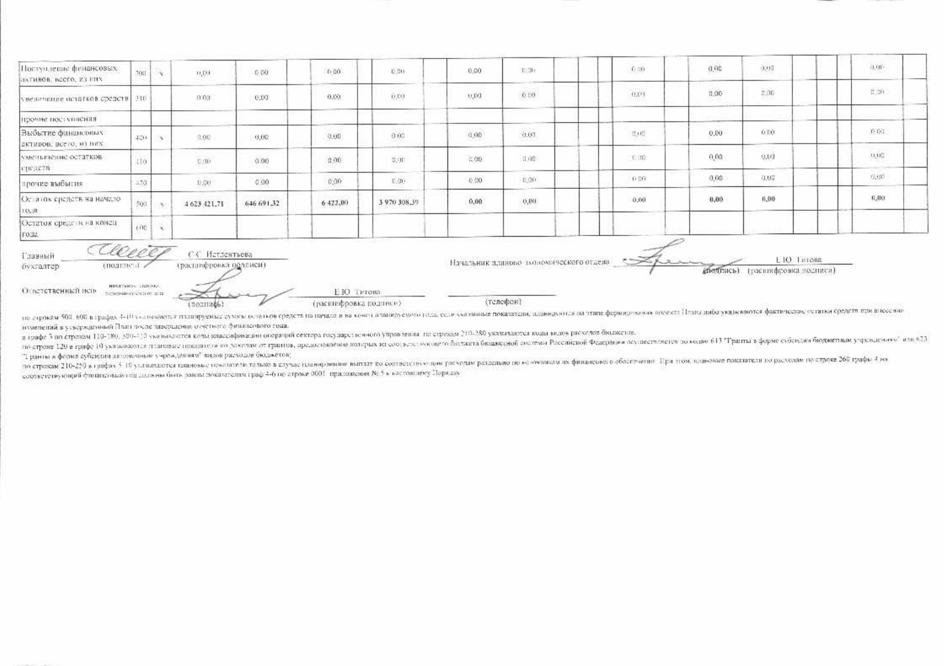|         | Ñ.         | 0,00                                                                                              | 0.06       | 0.00                                        | 15,000       | 0.00       | 30.00    | 6.00                   | 9.00                                      | 5.03.  | 0.90<br>69.000                                 |
|---------|------------|---------------------------------------------------------------------------------------------------|------------|---------------------------------------------|--------------|------------|----------|------------------------|-------------------------------------------|--------|------------------------------------------------|
|         |            | 0.001                                                                                             | 0.03       | 0.00                                        | 0,00         | 0.001      | $0.00\,$ | $\alpha\nu$<br>K VITI) | 0.00                                      | 2,00   | 0.30                                           |
|         |            |                                                                                                   |            |                                             |              |            |          |                        |                                           |        |                                                |
|         |            | 33,001                                                                                            | 0.00       | 0.00                                        | 0.00         | 0.00       | 0.03     | 3,0C                   | 0.00                                      | 0.101  | 0.00                                           |
| $110 -$ |            | $\rm cm$                                                                                          | 0.00       | 0.06                                        | $0.00\,$     | 0.00       | 31.00    | $1 - 10$               | 0.03                                      | 0.03   | $0.0\%$                                        |
| $-70$   |            | $0.30^\circ$                                                                                      | 0.00       | 0,00                                        | 0.001        | 0.00       | 0.00     | 0.00                   | $0.00 -$                                  | 0.00   | 33,607                                         |
| 50/t    |            | 4623 421,71                                                                                       | 646 691.32 | 6422,00                                     | 3 970 308.39 | 0,00       | 0,00     | (0.00)                 | 0.00                                      | 41,000 | 15,80                                          |
| 100     |            |                                                                                                   |            |                                             |              |            |          |                        |                                           |        |                                                |
|         |            |                                                                                                   |            | (расшифровка подписи).                      |              | (телефон)  |          |                        |                                           |        |                                                |
|         | тношние ат | 100<br>увеличение остатков средств [ 310]<br>420<br>HINGITSHIS LIZINARY<br>technology control and | Cleecep    | С.С. Истлентьева<br>трастанфровка поденеи). |              | Е Ю Титова |          |                        | Начальник планово змоломогческого отдело- |        | LIO TETORS<br>gnettrucs) (таслифровка нодикси) |

но строкам род. пос в графах очитальность планируемы, сумментовано года.<br>- изменений в утвержденный План после знаершения отчетного физипеового года.

в глафе 3 по страхам 110-180, 300-111 указываются колы впассификации операций сектара государстволного управления ли страхам 210-280 указываются коды видов расходав бюджетов.

по стране 120 в графе 10 указывается пожависти по раковые от гранта, предотвалены которых из соответстворных из соответствование болжета бюданской Федерации осуществленов по кодах 613. Транты в форме субордии бюданскими уч "І ранты в форме субсидии автономным учреждениям" видов расходов бюджетов;

по стракам 210-250 в графах 5.10 уклышается ганновые повлатели талько в случае пленаровние выплат по соответствующим расходам раздам по не обнание об обслечения. При пом. поведение поведателя по расходам по строке 260 граф соответствующий финансовый год должны быть равны показателям граф 4-6 по строке 0001 приложения № 5 к настояливу Порядку